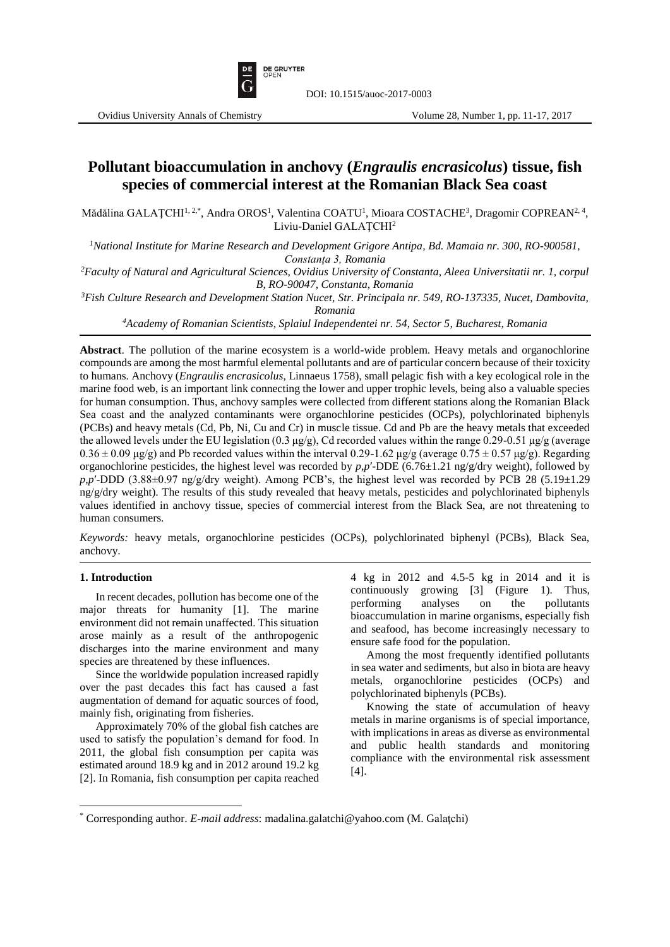

# **Pollutant bioaccumulation in anchovy (***Engraulis encrasicolus***) tissue, fish species of commercial interest at the Romanian Black Sea coast**

Mădălina GALAȚCHI<sup>I, 2,\*</sup>, Andra OROS<sup>1</sup>, Valentina COATU<sup>1</sup>, Mioara COSTACHE<sup>3</sup>, Dragomir COPREAN<sup>2, 4</sup>, Liviu-Daniel GALAŢCHI<sup>2</sup>

*<sup>1</sup>National Institute for Marine Research and Development Grigore Antipa, Bd. Mamaia nr. 300, RO-900581, Constanţa 3, Romania*

*<sup>2</sup>Faculty of Natural and Agricultural Sciences, Ovidius University of Constanta, Aleea Universitatii nr. 1, corpul B, RO-90047, Constanta, Romania*

*<sup>3</sup>Fish Culture Research and Development Station Nucet, Str. Principala nr. 549, RO-137335, Nucet, Dambovita, Romania*

*<sup>4</sup>Academy of Romanian Scientists, Splaiul Independentei nr. 54, Sector 5, Bucharest, Romania*

**Abstract**. The pollution of the marine ecosystem is a world-wide problem. Heavy metals and organochlorine compounds are among the most harmful elemental pollutants and are of particular concern because of their toxicity to humans. Anchovy (*Engraulis encrasicolus*, Linnaeus 1758), small pelagic fish with a key ecological role in the marine food web, is an important link connecting the lower and upper trophic levels, being also a valuable species for human consumption. Thus, anchovy samples were collected from different stations along the Romanian Black Sea coast and the analyzed contaminants were organochlorine pesticides (OCPs), polychlorinated biphenyls (PCBs) and heavy metals (Cd, Pb, Ni, Cu and Cr) in muscle tissue. Cd and Pb are the heavy metals that exceeded the allowed levels under the EU legislation (0.3 μg/g), Cd recorded values within the range 0.29-0.51 μg/g (average  $0.36 \pm 0.09$  μg/g) and Pb recorded values within the interval  $0.29$ -1.62 μg/g (average  $0.75 \pm 0.57$  μg/g). Regarding organochlorine pesticides, the highest level was recorded by *p,p*′-DDE (6.76±1.21 ng/g/dry weight), followed by *p,p*′-DDD (3.88±0.97 ng/g/dry weight). Among PCB's, the highest level was recorded by PCB 28 (5.19±1.29  $n\frac{g}{g}$  are  $n\frac{g}{g}$  are results of this study revealed that heavy metals, pesticides and polychlorinated biphenyls values identified in anchovy tissue, species of commercial interest from the Black Sea, are not threatening to human consumers.

*Keywords:* heavy metals, organochlorine pesticides (OCPs), polychlorinated biphenyl (PCBs), Black Sea, anchovy.

#### **1. Introduction**

 $\overline{\phantom{a}}$ 

In recent decades, pollution has become one of the major threats for humanity [1]. The marine environment did not remain unaffected. This situation arose mainly as a result of the anthropogenic discharges into the marine environment and many species are threatened by these influences.

Since the worldwide population increased rapidly over the past decades this fact has caused a fast augmentation of demand for aquatic sources of food, mainly fish, originating from fisheries.

Approximately 70% of the global fish catches are used to satisfy the population's demand for food. In 2011, the global fish consumption per capita was estimated around 18.9 kg and in 2012 around 19.2 kg [2]. In Romania, fish consumption per capita reached 4 kg in 2012 and 4.5-5 kg in 2014 and it is continuously growing [3] (Figure 1). Thus, performing analyses on the pollutants bioaccumulation in marine organisms, especially fish and seafood, has become increasingly necessary to ensure safe food for the population.

Among the most frequently identified pollutants in sea water and sediments, but also in biota are heavy metals, organochlorine pesticides (OCPs) and polychlorinated biphenyls (PCBs).

Knowing the state of accumulation of heavy metals in marine organisms is of special importance, with implications in areas as diverse as environmental and public health standards and monitoring compliance with the environmental risk assessment [4].

<sup>\*</sup> Corresponding author. *E-mail address*: madalina.galatchi@yahoo.com (M. Galaţchi)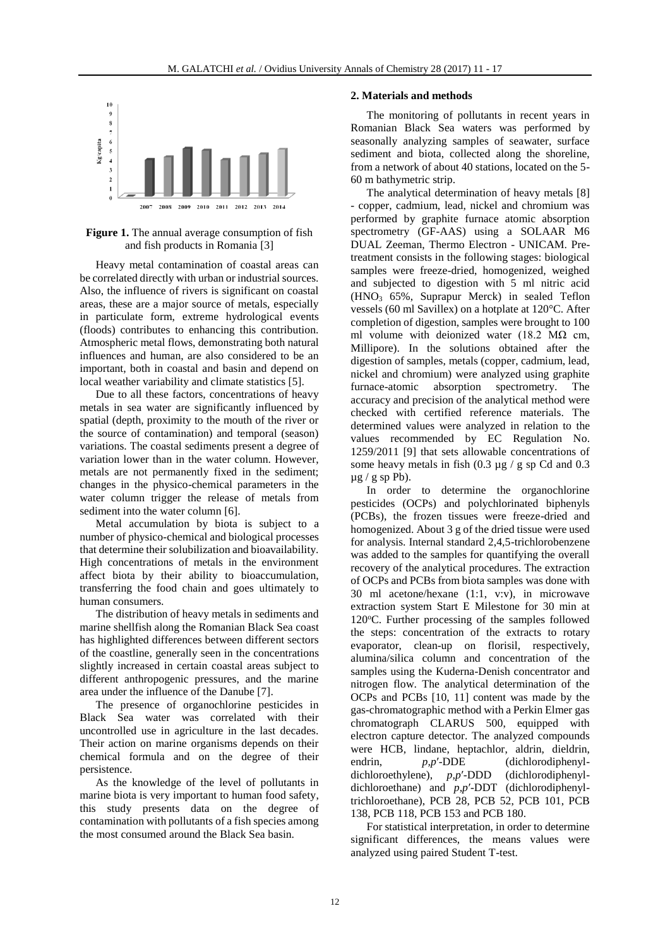

**Figure 1.** The annual average consumption of fish and fish products in Romania [3]

Heavy metal contamination of coastal areas can be correlated directly with urban or industrial sources. Also, the influence of rivers is significant on coastal areas, these are a major source of metals, especially in particulate form, extreme hydrological events (floods) contributes to enhancing this contribution. Atmospheric metal flows, demonstrating both natural influences and human, are also considered to be an important, both in coastal and basin and depend on local weather variability and climate statistics [5].

Due to all these factors, concentrations of heavy metals in sea water are significantly influenced by spatial (depth, proximity to the mouth of the river or the source of contamination) and temporal (season) variations. The coastal sediments present a degree of variation lower than in the water column. However, metals are not permanently fixed in the sediment; changes in the physico-chemical parameters in the water column trigger the release of metals from sediment into the water column [6].

Metal accumulation by biota is subject to a number of physico-chemical and biological processes that determine their solubilization and bioavailability. High concentrations of metals in the environment affect biota by their ability to bioaccumulation, transferring the food chain and goes ultimately to human consumers.

The distribution of heavy metals in sediments and marine shellfish along the Romanian Black Sea coast has highlighted differences between different sectors of the coastline, generally seen in the concentrations slightly increased in certain coastal areas subject to different anthropogenic pressures, and the marine area under the influence of the Danube [7].

The presence of organochlorine pesticides in Black Sea water was correlated with their uncontrolled use in agriculture in the last decades. Their action on marine organisms depends on their chemical formula and on the degree of their persistence.

As the knowledge of the level of pollutants in marine biota is very important to human food safety, this study presents data on the degree of contamination with pollutants of a fish species among the most consumed around the Black Sea basin.

## **2. Materials and methods**

The monitoring of pollutants in recent years in Romanian Black Sea waters was performed by seasonally analyzing samples of seawater, surface sediment and biota, collected along the shoreline, from a network of about 40 stations, located on the 5- 60 m bathymetric strip.

The analytical determination of heavy metals [8] - copper, cadmium, lead, nickel and chromium was performed by graphite furnace atomic absorption spectrometry (GF-AAS) using a SOLAAR M6 DUAL Zeeman, Thermo Electron - UNICAM. Pretreatment consists in the following stages: biological samples were freeze-dried, homogenized, weighed and subjected to digestion with 5 ml nitric acid (HNO<sup>3</sup> 65%, Suprapur Merck) in sealed Teflon vessels (60 ml Savillex) on a hotplate at 120°C. After completion of digestion, samples were brought to 100 ml volume with deionized water (18.2 M $\Omega$  cm, Millipore). In the solutions obtained after the digestion of samples, metals (copper, cadmium, lead, nickel and chromium) were analyzed using graphite furnace-atomic absorption spectrometry. The accuracy and precision of the analytical method were checked with certified reference materials. The determined values were analyzed in relation to the values recommended by EC Regulation No. 1259/2011 [9] that sets allowable concentrations of some heavy metals in fish (0.3  $\mu$ g / g sp Cd and 0.3  $\mu$ g / g sp Pb).

In order to determine the organochlorine pesticides (OCPs) and polychlorinated biphenyls (PCBs), the frozen tissues were freeze-dried and homogenized. About 3 g of the dried tissue were used for analysis. Internal standard 2,4,5-trichlorobenzene was added to the samples for quantifying the overall recovery of the analytical procedures. The extraction of OCPs and PCBs from biota samples was done with 30 ml acetone/hexane (1:1, v:v), in microwave extraction system Start E Milestone for 30 min at 120°C. Further processing of the samples followed the steps: concentration of the extracts to rotary evaporator, clean-up on florisil, respectively, alumina/silica column and concentration of the samples using the Kuderna-Denish concentrator and nitrogen flow. The analytical determination of the OCPs and PCBs [10, 11] content was made by the gas-chromatographic method with a Perkin Elmer gas chromatograph CLARUS 500, equipped with electron capture detector. The analyzed compounds were HCB, lindane, heptachlor, aldrin, dieldrin, endrin, p,p'-DDE (dichlorodiphenvlendrin, *p,p'*-DDE (dichlorodiphenyldichloroethylene), *p,p*′-DDD (dichlorodiphenyldichloroethane) and *p,p*′-DDT (dichlorodiphenyltrichloroethane), PCB 28, PCB 52, PCB 101, PCB 138, PCB 118, PCB 153 and PCB 180.

For statistical interpretation, in order to determine significant differences, the means values were analyzed using paired Student T-test.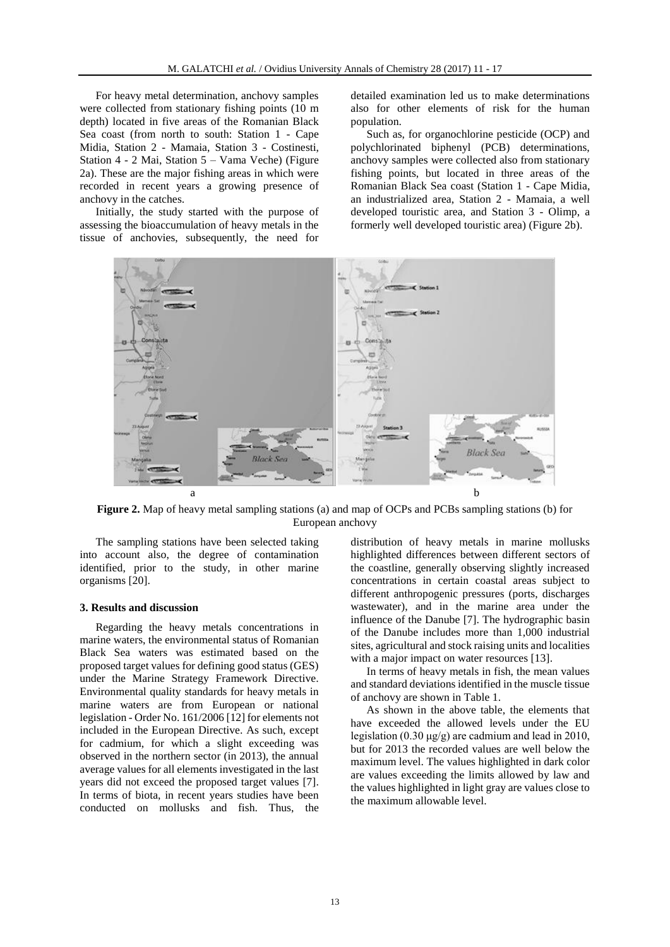For heavy metal determination, anchovy samples were collected from stationary fishing points (10 m depth) located in five areas of the Romanian Black Sea coast (from north to south: Station 1 - Cape Midia, Station 2 - Mamaia, Station 3 - Costinesti, Station 4 - 2 Mai, Station 5 – Vama Veche) (Figure 2a). These are the major fishing areas in which were recorded in recent years a growing presence of anchovy in the catches.

Initially, the study started with the purpose of assessing the bioaccumulation of heavy metals in the tissue of anchovies, subsequently, the need for detailed examination led us to make determinations also for other elements of risk for the human population.

Such as, for organochlorine pesticide (OCP) and polychlorinated biphenyl (PCB) determinations, anchovy samples were collected also from stationary fishing points, but located in three areas of the Romanian Black Sea coast (Station 1 - Cape Midia, an industrialized area, Station 2 - Mamaia, a well developed touristic area, and Station 3 - Olimp, a formerly well developed touristic area) (Figure 2b).



**Figure 2.** Map of heavy metal sampling stations (a) and map of OCPs and PCBs sampling stations (b) for European anchovy

The sampling stations have been selected taking into account also, the degree of contamination identified, prior to the study, in other marine organisms [20].

## **3. Results and discussion**

Regarding the heavy metals concentrations in marine waters, the environmental status of Romanian Black Sea waters was estimated based on the proposed target values for defining good status (GES) under the Marine Strategy Framework Directive. Environmental quality standards for heavy metals in marine waters are from European or national legislation - Order No. 161/2006 [12] for elements not included in the European Directive. As such, except for cadmium, for which a slight exceeding was observed in the northern sector (in 2013), the annual average values for all elements investigated in the last years did not exceed the proposed target values [7]. In terms of biota, in recent years studies have been conducted on mollusks and fish. Thus, the

distribution of heavy metals in marine mollusks highlighted differences between different sectors of the coastline, generally observing slightly increased concentrations in certain coastal areas subject to different anthropogenic pressures (ports, discharges wastewater), and in the marine area under the influence of the Danube [7]. The hydrographic basin of the Danube includes more than 1,000 industrial sites, agricultural and stock raising units and localities with a major impact on water resources [13].

In terms of heavy metals in fish, the mean values and standard deviations identified in the muscle tissue of anchovy are shown in Table 1.

As shown in the above table, the elements that have exceeded the allowed levels under the EU legislation (0.30 μg/g) are cadmium and lead in 2010, but for 2013 the recorded values are well below the maximum level. The values highlighted in dark color are values exceeding the limits allowed by law and the values highlighted in light gray are values close to the maximum allowable level.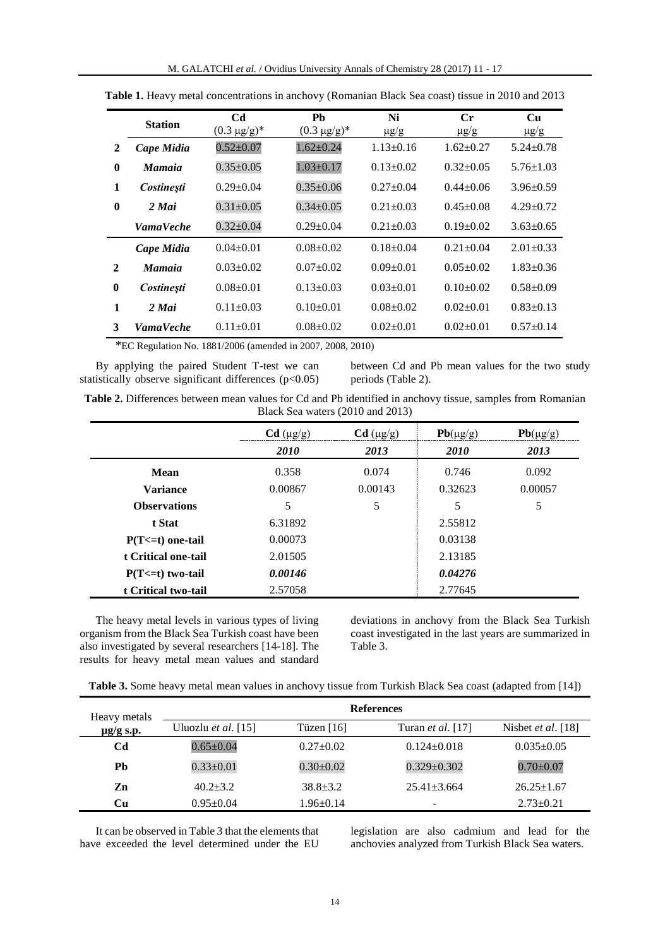|              | <b>Station</b>    | C <sub>d</sub><br>$(0.3 \text{ µg/g})^*$ | Ph<br>$(0.3 \mu g/g)^*$ | Ni<br>$\mu$ g/g | $C_{r}$<br>$\mu$ g/g | Cu<br>$\mu$ g/g |
|--------------|-------------------|------------------------------------------|-------------------------|-----------------|----------------------|-----------------|
| 2            | Cape Midia        | $0.52 \pm 0.07$                          | $1.62 \pm 0.24$         | $1.13 \pm 0.16$ | $1.62+0.27$          | $5.24 \pm 0.78$ |
| $\mathbf{0}$ | <b>Mamaia</b>     | $0.35 \pm 0.05$                          | $1.03 \pm 0.17$         | $0.13 \pm 0.02$ | $0.32+0.05$          | $5.76 \pm 1.03$ |
| 1            | <b>Costinesti</b> | $0.29 \pm 0.04$                          | $0.35 \pm 0.06$         | $0.27+0.04$     | $0.44 + 0.06$        | $3.96 \pm 0.59$ |
| $\mathbf{0}$ | 2 Mai             | $0.31 \pm 0.05$                          | $0.34 \pm 0.05$         | $0.21 + 0.03$   | $0.45 + 0.08$        | $4.29 + 0.72$   |
|              | <b>VamaVeche</b>  | $0.32 \pm 0.04$                          | $0.29 \pm 0.04$         | $0.21 + 0.03$   | $0.19 \pm 0.02$      | $3.63 \pm 0.65$ |
|              | Cape Midia        | $0.04 + 0.01$                            | $0.08 + 0.02$           | $0.18+0.04$     | $0.21 + 0.04$        | $2.01 + 0.33$   |
| 2            | <b>Mamaia</b>     | $0.03 + 0.02$                            | $0.07 + 0.02$           | $0.09 + 0.01$   | $0.05 + 0.02$        | $1.83 + 0.36$   |
| $\bf{0}$     | <b>Costinesti</b> | $0.08 + 0.01$                            | $0.13 \pm 0.03$         | $0.03 \pm 0.01$ | $0.10+0.02$          | $0.58 \pm 0.09$ |
| 1            | 2 Mai             | $0.11 \pm 0.03$                          | $0.10+0.01$             | $0.08 + 0.02$   | $0.02+0.01$          | $0.83 \pm 0.13$ |
| 3            | <b>VamaVeche</b>  | $0.11 \pm 0.01$                          | $0.08 + 0.02$           | $0.02+0.01$     | $0.02 \pm 0.01$      | $0.57+0.14$     |

Table 1. Heavy metal concentrations in anchovy (Romanian Black Sea coast) tissue in 2010 and 2013

\*EC Regulation No. 1881/2006 (amended in 2007, 2008, 2010)

By applying the paired Student T-test we can statistically observe significant differences  $(p<0.05)$ 

between Cd and Pb mean values for the two study periods (Table 2).

| Table 2. Differences between mean values for Cd and Pb identified in anchovy tissue, samples from Romanian |                                  |  |
|------------------------------------------------------------------------------------------------------------|----------------------------------|--|
|                                                                                                            | Black Sea waters (2010 and 2013) |  |

|                       | $Cd$ ( $\mu$ g/g)<br><i>2010</i> | $Cd$ ( $\mu$ g/g)<br>2013 | $Pb(\mu g/g)$<br>2010 | $Pb(\mu g/g)$<br>2013 |
|-----------------------|----------------------------------|---------------------------|-----------------------|-----------------------|
| Mean                  | 0.358                            | 0.074                     | 0.746                 | 0.092                 |
| <b>Variance</b>       | 0.00867                          | 0.00143                   | 0.32623               | 0.00057               |
| <b>Observations</b>   | 5                                | 5                         | 5                     | 5                     |
| t Stat                | 6.31892                          |                           | 2.55812               |                       |
| $P(T \le t)$ one-tail | 0.00073                          |                           | 0.03138               |                       |
| t Critical one-tail   | 2.01505                          |                           | 2.13185               |                       |
| $P(T \le t)$ two-tail | 0.00146                          |                           | 0.04276               |                       |
| t Critical two-tail   | 2.57058                          |                           | 2.77645               |                       |

The heavy metal levels in various types of living organism from the Black Sea Turkish coast have been also investigated by several researchers [14-18]. The results for heavy metal mean values and standard

deviations in anchovy from the Black Sea Turkish coast investigated in the last years are summarized in Table 3.

| Heavy metals   | <b>References</b>            |                 |                          |                             |
|----------------|------------------------------|-----------------|--------------------------|-----------------------------|
| $\mu$ g/g s.p. | Uluozlu <i>et al.</i> $[15]$ | Tüzen $[16]$    | Turan <i>et al.</i> [17] | Nisbet <i>et al.</i> $[18]$ |
| Cd             | $0.65 \pm 0.04$              | $0.27+0.02$     | $0.124 \pm 0.018$        | $0.035 \pm 0.05$            |
| Pb             | $0.33 \pm 0.01$              | $0.30 \pm 0.02$ | $0.329 \pm 0.302$        | $0.70 \pm 0.07$             |
| Zn             | $40.2 + 3.2$                 | $38.8 + 3.2$    | $25.41 + 3.664$          | $26.25 \pm 1.67$            |
| Cи             | $0.95 \pm 0.04$              | $1.96 \pm 0.14$ | -                        | $2.73 \pm 0.21$             |

It can be observed in Table 3 that the elements that have exceeded the level determined under the EU

legislation are also cadmium and lead for the anchovies analyzed from Turkish Black Sea waters.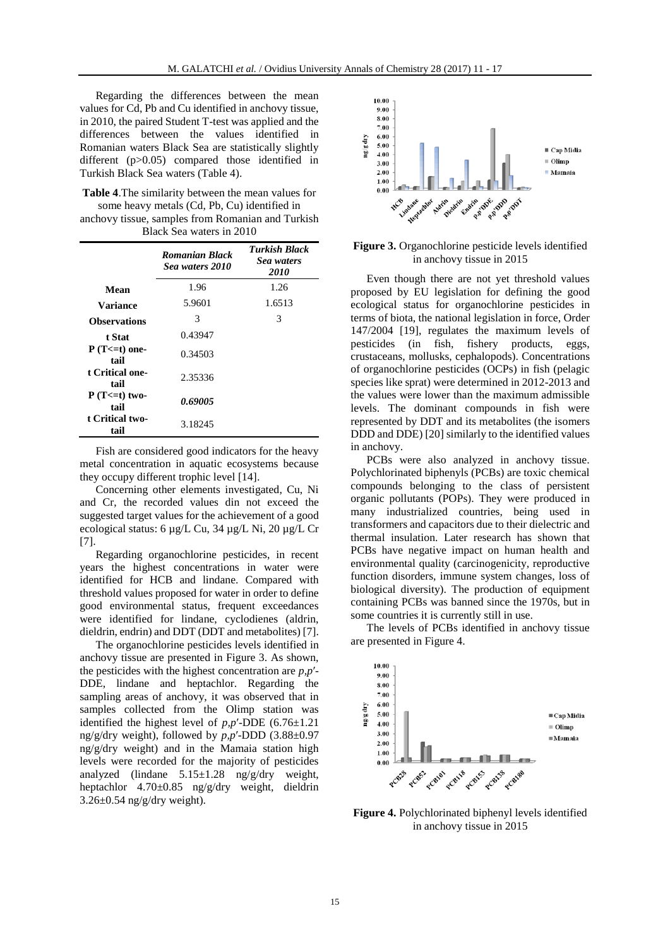Regarding the differences between the mean values for Cd, Pb and Cu identified in anchovy tissue, in 2010, the paired Student T-test was applied and the differences between the values identified in Romanian waters Black Sea are statistically slightly different (p>0.05) compared those identified in Turkish Black Sea waters (Table 4).

**Table 4**.The similarity between the mean values for some heavy metals (Cd, Pb, Cu) identified in

| anchovy tissue, samples from Romanian and Turkish |  |
|---------------------------------------------------|--|
| Black Sea waters in 2010                          |  |

|                           | <b>Romanian Black</b><br>Sea waters 2010 | <b>Turkish Black</b><br>Sea waters<br><i>2010</i> |
|---------------------------|------------------------------------------|---------------------------------------------------|
| Mean                      | 1.96                                     | 1.26                                              |
| <b>Variance</b>           | 5.9601                                   | 1.6513                                            |
| <b>Observations</b>       | 3                                        | 3                                                 |
| t Stat                    | 0.43947                                  |                                                   |
| $P(T=0)$ one-<br>tail     | 0.34503                                  |                                                   |
| t Critical one-<br>tail   | 2.35336                                  |                                                   |
| $P(T \le t)$ two-<br>tail | 0.69005                                  |                                                   |
| t Critical two-<br>tail   | 3.18245                                  |                                                   |

Fish are considered good indicators for the heavy metal concentration in aquatic ecosystems because they occupy different trophic level [14].

Concerning other elements investigated, Cu, Ni and Cr, the recorded values din not exceed the suggested target values for the achievement of a good ecological status: 6 µg/L Cu, 34 µg/L Ni, 20 µg/L Cr [7].

Regarding organochlorine pesticides, in recent years the highest concentrations in water were identified for HCB and lindane. Compared with threshold values proposed for water in order to define good environmental status, frequent exceedances were identified for lindane, cyclodienes (aldrin, dieldrin, endrin) and DDT (DDT and metabolites) [7].

The organochlorine pesticides levels identified in anchovy tissue are presented in Figure 3. As shown, the pesticides with the highest concentration are *p,p*′- DDE, lindane and heptachlor. Regarding the sampling areas of anchovy, it was observed that in samples collected from the Olimp station was identified the highest level of  $p, p'$ -DDE (6.76 $\pm$ 1.21) ng/g/dry weight), followed by *p,p*′-DDD (3.88±0.97 ng/g/dry weight) and in the Mamaia station high levels were recorded for the majority of pesticides analyzed (lindane 5.15±1.28 ng/g/dry weight, heptachlor 4.70±0.85 ng/g/dry weight, dieldrin  $3.26\pm0.54$  ng/g/dry weight).



## **Figure 3.** Organochlorine pesticide levels identified in anchovy tissue in 2015

Even though there are not yet threshold values proposed by EU legislation for defining the good ecological status for organochlorine pesticides in terms of biota, the national legislation in force, Order 147/2004 [19], regulates the maximum levels of pesticides (in fish, fishery products, eggs, crustaceans, mollusks, cephalopods). Concentrations of organochlorine pesticides (OCPs) in fish (pelagic species like sprat) were determined in 2012-2013 and the values were lower than the maximum admissible levels. The dominant compounds in fish were represented by DDT and its metabolites (the isomers DDD and DDE) [20] similarly to the identified values in anchovy.

PCBs were also analyzed in anchovy tissue. Polychlorinated biphenyls (PCBs) are toxic chemical compounds belonging to the class of persistent organic pollutants (POPs). They were produced in many industrialized countries, being used in transformers and capacitors due to their dielectric and thermal insulation. Later research has shown that PCBs have negative impact on human health and environmental quality (carcinogenicity, reproductive function disorders, immune system changes, loss of biological diversity). The production of equipment containing PCBs was banned since the 1970s, but in some countries it is currently still in use.

The levels of PCBs identified in anchovy tissue are presented in Figure 4.



**Figure 4.** Polychlorinated biphenyl levels identified in anchovy tissue in 2015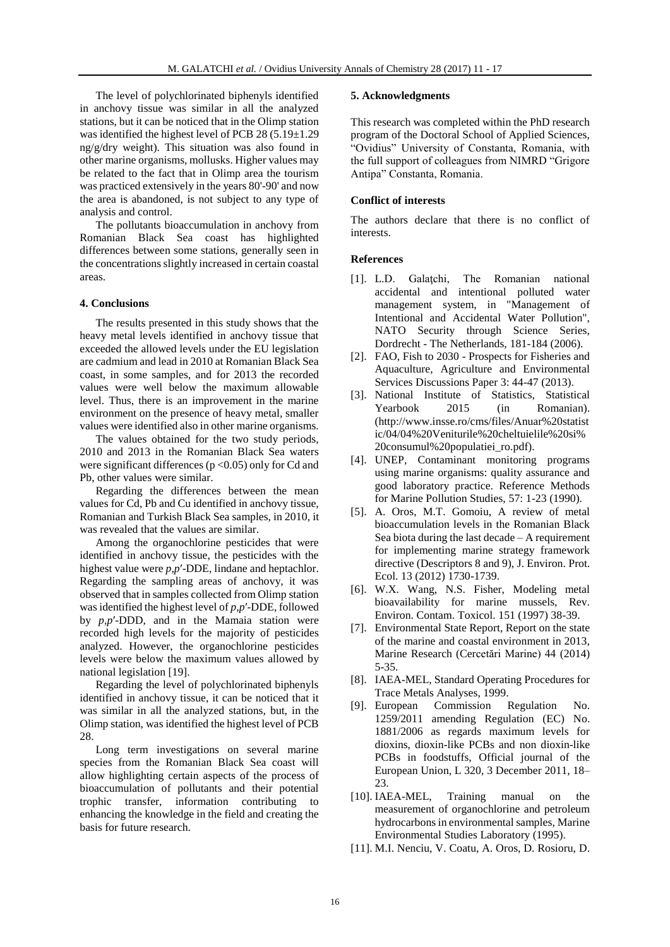The level of polychlorinated biphenyls identified in anchovy tissue was similar in all the analyzed stations, but it can be noticed that in the Olimp station was identified the highest level of PCB 28 (5.19±1.29 ng/g/dry weight). This situation was also found in other marine organisms, mollusks. Higher values may be related to the fact that in Olimp area the tourism was practiced extensively in the years 80'-90' and now the area is abandoned, is not subject to any type of analysis and control.

The pollutants bioaccumulation in anchovy from Romanian Black Sea coast has highlighted differences between some stations, generally seen in the concentrations slightly increased in certain coastal areas.

# **4. Conclusions**

The results presented in this study shows that the heavy metal levels identified in anchovy tissue that exceeded the allowed levels under the EU legislation are cadmium and lead in 2010 at Romanian Black Sea coast, in some samples, and for 2013 the recorded values were well below the maximum allowable level. Thus, there is an improvement in the marine environment on the presence of heavy metal, smaller values were identified also in other marine organisms.

The values obtained for the two study periods, 2010 and 2013 in the Romanian Black Sea waters were significant differences ( $p$  <0.05) only for Cd and Pb, other values were similar.

Regarding the differences between the mean values for Cd, Pb and Cu identified in anchovy tissue, Romanian and Turkish Black Sea samples, in 2010, it was revealed that the values are similar.

Among the organochlorine pesticides that were identified in anchovy tissue, the pesticides with the highest value were *p,p*′-DDE, lindane and heptachlor. Regarding the sampling areas of anchovy, it was observed that in samples collected from Olimp station was identified the highest level of *p,p*′-DDE, followed by *p,p*′-DDD, and in the Mamaia station were recorded high levels for the majority of pesticides analyzed. However, the organochlorine pesticides levels were below the maximum values allowed by national legislation [19].

Regarding the level of polychlorinated biphenyls identified in anchovy tissue, it can be noticed that it was similar in all the analyzed stations, but, in the Olimp station, was identified the highest level of PCB 28.

Long term investigations on several marine species from the Romanian Black Sea coast will allow highlighting certain aspects of the process of bioaccumulation of pollutants and their potential trophic transfer, information contributing to enhancing the knowledge in the field and creating the basis for future research.

## **5. Acknowledgments**

This research was completed within the PhD research program of the Doctoral School of Applied Sciences, "Ovidius" University of Constanta, Romania, with the full support of colleagues from NIMRD "Grigore Antipa" Constanta, Romania.

## **Conflict of interests**

The authors declare that there is no conflict of **interests** 

#### **References**

- [1]. L.D. Galaţchi, The Romanian national accidental and intentional polluted water management system, in "Management of Intentional and Accidental Water Pollution", NATO Security through Science Series, Dordrecht - The Netherlands, 181-184 (2006).
- [2]. FAO, Fish to 2030 Prospects for Fisheries and Aquaculture, Agriculture and Environmental Services Discussions Paper 3: 44-47 (2013).
- [3]. National Institute of Statistics, Statistical Yearbook 2015 (in Romanian). (http://www.insse.ro/cms/files/Anuar%20statist ic/04/04%20Veniturile%20cheltuielile%20si% 20consumul%20populatiei\_ro.pdf).
- [4]. UNEP, Contaminant monitoring programs using marine organisms: quality assurance and good laboratory practice. Reference Methods for Marine Pollution Studies, 57: 1-23 (1990).
- [5]. A. Oros, M.T. Gomoiu, A review of metal bioaccumulation levels in the Romanian Black Sea biota during the last decade – A requirement for implementing marine strategy framework directive (Descriptors 8 and 9), J. Environ. Prot. Ecol. 13 (2012) 1730-1739.
- [6]. W.X. Wang, N.S. Fisher, Modeling metal bioavailability for marine mussels, Rev. Environ. Contam. Toxicol. 151 (1997) 38-39.
- [7]. Environmental State Report, Report on the state of the marine and coastal environment in 2013, Marine Research (Cercetări Marine) 44 (2014) 5-35.
- [8]. IAEA-MEL, Standard Operating Procedures for Trace Metals Analyses, 1999.
- [9]. European Commission Regulation No. 1259/2011 amending Regulation (EC) No. 1881/2006 as regards maximum levels for dioxins, dioxin-like PCBs and non dioxin-like PCBs in foodstuffs, Official journal of the European Union, L 320, 3 December 2011, 18– 23.
- [10]. IAEA-MEL, Training manual on the measurement of organochlorine and petroleum hydrocarbons in environmental samples, Marine Environmental Studies Laboratory (1995).
- [11]. M.I. Nenciu, V. Coatu, A. Oros, D. Rosioru, D.